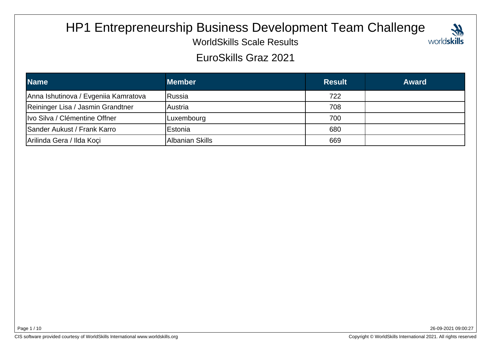# HP1 Entrepreneurship Business Development Team Challenge



WorldSkills Scale Results

EuroSkills Graz 2021

| <b>Name</b>                          | <b>Member</b>   | <b>Result</b> | <b>Award</b> |
|--------------------------------------|-----------------|---------------|--------------|
| Anna Ishutinova / Evgeniia Kamratova | <b>Russia</b>   | 722           |              |
| Reininger Lisa / Jasmin Grandtner    | lAustria        | 708           |              |
| Ivo Silva / Clémentine Offner        | Luxembourg      | 700           |              |
| Sander Aukust / Frank Karro          | IEstonia        | 680           |              |
| Arilinda Gera / Ilda Koçi            | Albanian Skills | 669           |              |

Page 1 / 10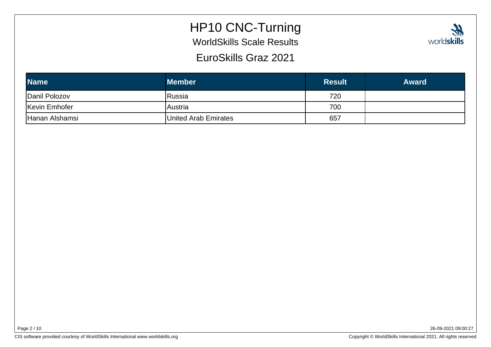### HP10 CNC-Turning

WorldSkills Scale Results

| EuroSkills Graz 2021 |               |              |  |
|----------------------|---------------|--------------|--|
| <b>mber</b>          | <b>Result</b> | <b>Award</b> |  |

| <b>Name</b>    | <b>Member</b>        | <b>Result</b> | <b>Award</b> |
|----------------|----------------------|---------------|--------------|
| Danil Polozov  | <b>Russia</b>        | 720           |              |
| Kevin Emhofer  | <b>Austria</b>       | 700           |              |
| Hanan Alshamsi | United Arab Emirates | 657           |              |

26-09-2021 09:00:27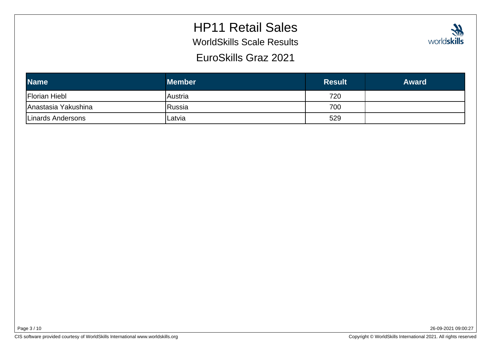## HP11 Retail Sales

WorldSkills Scale Results

EuroSkills Graz 2021

| <b>Wh</b>   |
|-------------|
| worldskills |

| <b>Name</b>          | <b>Member</b> | <b>Result</b> | <b>Award</b> |
|----------------------|---------------|---------------|--------------|
| <b>Florian Hiebl</b> | Austria       | 720           |              |
| Anastasia Yakushina  | Russia        | 700           |              |
| Linards Andersons    | Latvia        | 529           |              |

Page 3 / 10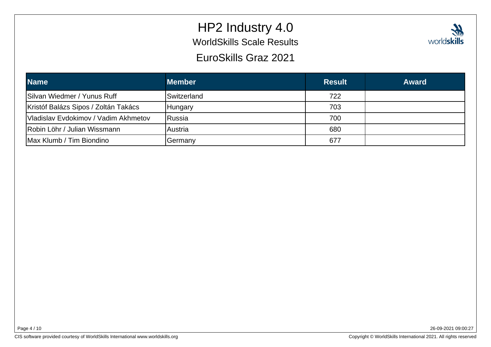# HP2 Industry 4.0WorldSkills Scale Results



EuroSkills Graz 2021

| <b>Name</b>                          | <b>Member</b>      | <b>Result</b> | <b>Award</b> |
|--------------------------------------|--------------------|---------------|--------------|
| Silvan Wiedmer / Yunus Ruff          | <b>Switzerland</b> | 722           |              |
| Kristóf Balázs Sipos / Zoltán Takács | Hungary            | 703           |              |
| Vladislav Evdokimov / Vadim Akhmetov | <b>Russia</b>      | 700           |              |
| Robin Löhr / Julian Wissmann         | <b>Austria</b>     | 680           |              |
| Max Klumb / Tim Biondino             | Germany            | 677           |              |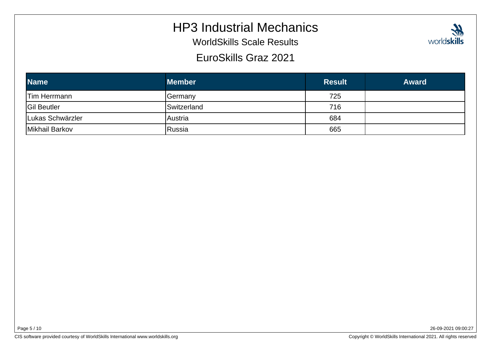#### HP3 Industrial Mechanics

WorldSkills Scale Results

EuroSkills Graz 2021

| <b>Name</b>         | <b>Member</b> | <b>Result</b> | <b>Award</b> |
|---------------------|---------------|---------------|--------------|
| <b>Tim Herrmann</b> | Germany       | 725           |              |
| <b>Gil Beutler</b>  | Switzerland   | 716           |              |
| Lukas Schwärzler    | Austria       | 684           |              |
| Mikhail Barkov      | Russia        | 665           |              |

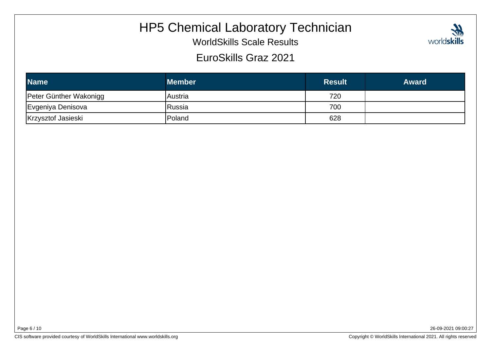### HP5 Chemical Laboratory Technician

WorldSkills Scale Results

#### EuroSkills Graz 2021

| <b>Name</b>            | <b>Member</b> | <b>Result</b> | <b>Award</b> |
|------------------------|---------------|---------------|--------------|
| Peter Günther Wakonigg | lAustria      | 720           |              |
| Evgeniya Denisova      | Russia        | 700           |              |
| Krzysztof Jasieski     | Poland        | 628           |              |

Page 6 / 10

26-09-2021 09:00:27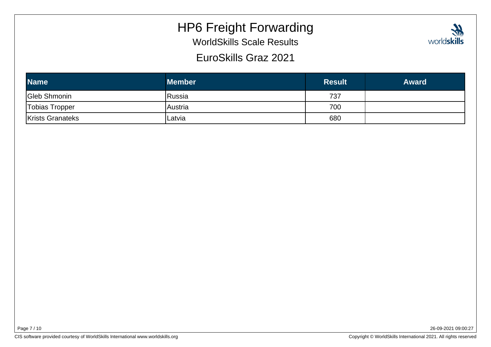### HP6 Freight Forwarding

WorldSkills Scale Results

EuroSkills Graz 2021

| <b>M</b>    |  |
|-------------|--|
| worldskills |  |

| <b>Name</b>             | <b>Member</b> | <b>Result</b> | <b>Award</b> |
|-------------------------|---------------|---------------|--------------|
| Gleb Shmonin            | Russia        | 737           |              |
| Tobias Tropper          | lAustria      | 700           |              |
| <b>Krists Granateks</b> | Latvia        | 680           |              |

Page 7 / 10

26-09-2021 09:00:27

CIS software provided courtesy of WorldSkills International www.worldskills.org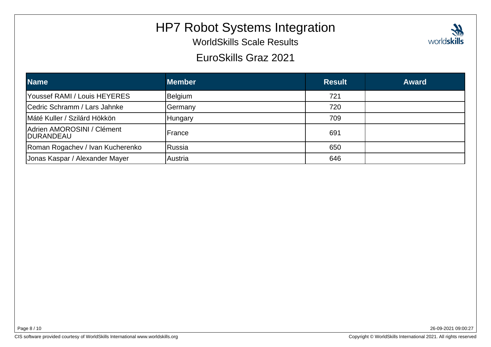### HP7 Robot Systems Integration

WorldSkills Scale Results

#### EuroSkills Graz 2021

| <b>Name</b>                                     | <b>Member</b> | <b>Result</b> | <b>Award</b> |
|-------------------------------------------------|---------------|---------------|--------------|
| Youssef RAMI / Louis HEYERES                    | Belgium       | 721           |              |
| Cedric Schramm / Lars Jahnke                    | Germany       | 720           |              |
| Máté Kuller / Szilárd Hökkön                    | Hungary       | 709           |              |
| Adrien AMOROSINI / Clément<br><b>IDURANDEAU</b> | France        | 691           |              |
| Roman Rogachev / Ivan Kucherenko                | <b>Russia</b> | 650           |              |
| Jonas Kaspar / Alexander Mayer                  | lAustria      | 646           |              |

26-09-2021 09:00:27

 $\boldsymbol{\mathcal{U}}$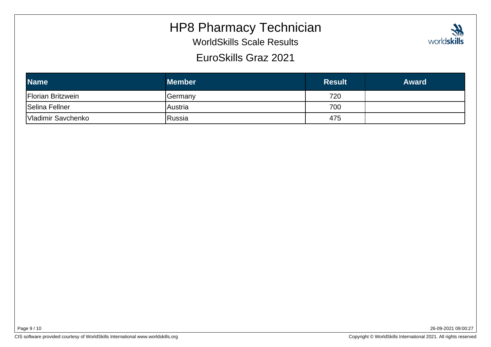#### HP8 Pharmacy Technician

WorldSkills Scale Results

#### EuroSkills Graz 2021

| <b>Name</b>              | <b>Member</b>  | <b>Result</b> | <b>Award</b> |
|--------------------------|----------------|---------------|--------------|
| <b>Florian Britzwein</b> | <b>Germany</b> | 720           |              |
| Selina Fellner           | lAustria       | 700           |              |
| Vladimir Savchenko       | Russia         | 475           |              |

Page 9 / 10

26-09-2021 09:00:27